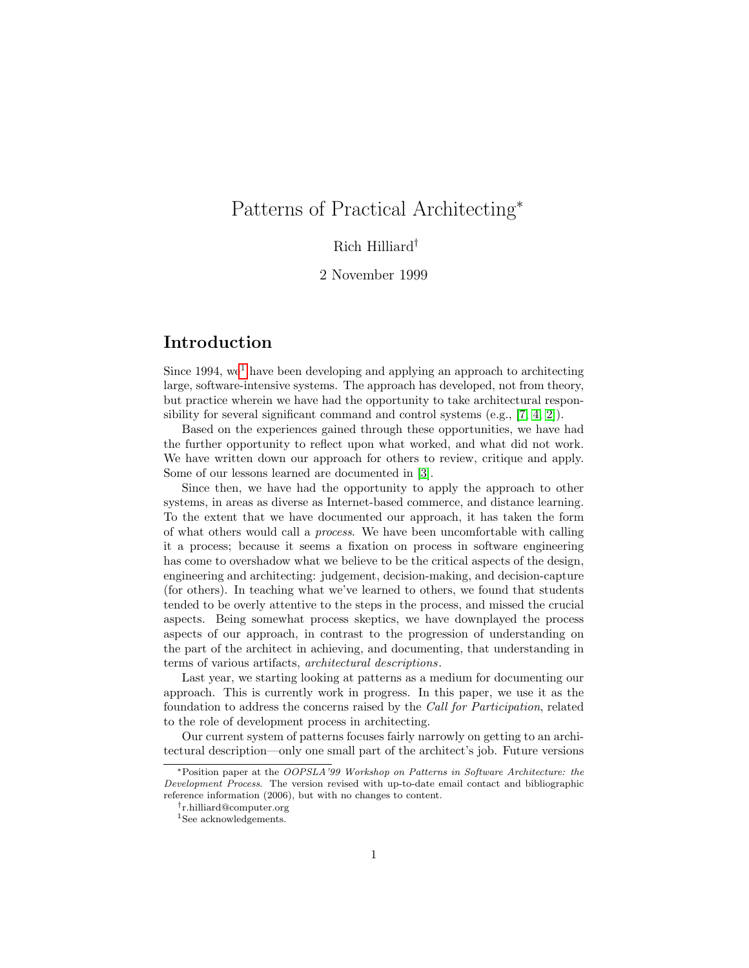# Patterns of Practical Architecting<sup>∗</sup>

### Rich Hilliard†

### 2 November 1999

# Introduction

Since [1](#page-0-0)994, we<sup>1</sup> have been developing and applying an approach to architecting large, software-intensive systems. The approach has developed, not from theory, but practice wherein we have had the opportunity to take architectural responsibility for several significant command and control systems (e.g., [\[7,](#page-5-0) [4,](#page-4-0) [2\]](#page-4-1)).

Based on the experiences gained through these opportunities, we have had the further opportunity to reflect upon what worked, and what did not work. We have written down our approach for others to review, critique and apply. Some of our lessons learned are documented in [\[3\]](#page-4-2).

Since then, we have had the opportunity to apply the approach to other systems, in areas as diverse as Internet-based commerce, and distance learning. To the extent that we have documented our approach, it has taken the form of what others would call a process. We have been uncomfortable with calling it a process; because it seems a fixation on process in software engineering has come to overshadow what we believe to be the critical aspects of the design, engineering and architecting: judgement, decision-making, and decision-capture (for others). In teaching what we've learned to others, we found that students tended to be overly attentive to the steps in the process, and missed the crucial aspects. Being somewhat process skeptics, we have downplayed the process aspects of our approach, in contrast to the progression of understanding on the part of the architect in achieving, and documenting, that understanding in terms of various artifacts, architectural descriptions.

Last year, we starting looking at patterns as a medium for documenting our approach. This is currently work in progress. In this paper, we use it as the foundation to address the concerns raised by the Call for Participation, related to the role of development process in architecting.

Our current system of patterns focuses fairly narrowly on getting to an architectural description—only one small part of the architect's job. Future versions

<sup>∗</sup>Position paper at the OOPSLA'99 Workshop on Patterns in Software Architecture: the Development Process. The version revised with up-to-date email contact and bibliographic reference information (2006), but with no changes to content.

<sup>†</sup> r.hilliard@computer.org

<span id="page-0-0"></span><sup>&</sup>lt;sup>1</sup>See acknowledgements.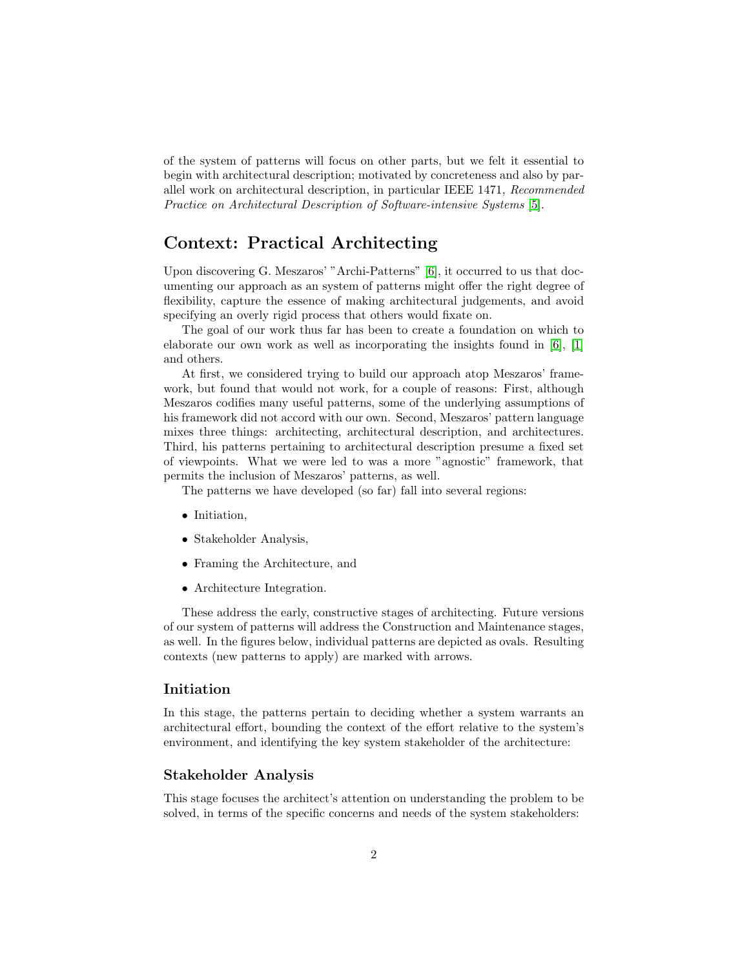of the system of patterns will focus on other parts, but we felt it essential to begin with architectural description; motivated by concreteness and also by parallel work on architectural description, in particular IEEE 1471, Recommended Practice on Architectural Description of Software-intensive Systems [\[5\]](#page-4-3).

## Context: Practical Architecting

Upon discovering G. Meszaros' "Archi-Patterns" [\[6\]](#page-4-4), it occurred to us that documenting our approach as an system of patterns might offer the right degree of flexibility, capture the essence of making architectural judgements, and avoid specifying an overly rigid process that others would fixate on.

The goal of our work thus far has been to create a foundation on which to elaborate our own work as well as incorporating the insights found in  $[6]$ ,  $[1]$ and others.

At first, we considered trying to build our approach atop Meszaros' framework, but found that would not work, for a couple of reasons: First, although Meszaros codifies many useful patterns, some of the underlying assumptions of his framework did not accord with our own. Second, Meszaros' pattern language mixes three things: architecting, architectural description, and architectures. Third, his patterns pertaining to architectural description presume a fixed set of viewpoints. What we were led to was a more "agnostic" framework, that permits the inclusion of Meszaros' patterns, as well.

The patterns we have developed (so far) fall into several regions:

- Initiation,
- Stakeholder Analysis,
- Framing the Architecture, and
- Architecture Integration.

These address the early, constructive stages of architecting. Future versions of our system of patterns will address the Construction and Maintenance stages, as well. In the figures below, individual patterns are depicted as ovals. Resulting contexts (new patterns to apply) are marked with arrows.

#### Initiation

In this stage, the patterns pertain to deciding whether a system warrants an architectural effort, bounding the context of the effort relative to the system's environment, and identifying the key system stakeholder of the architecture:

#### Stakeholder Analysis

This stage focuses the architect's attention on understanding the problem to be solved, in terms of the specific concerns and needs of the system stakeholders: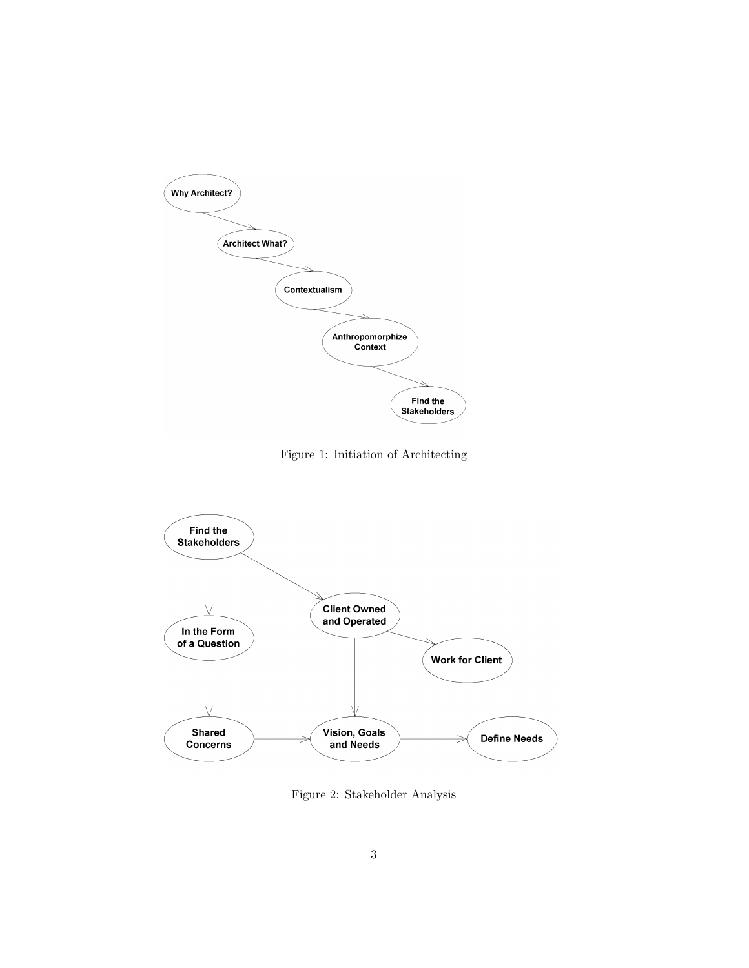

Figure 1: Initiation of Architecting



Figure 2: Stakeholder Analysis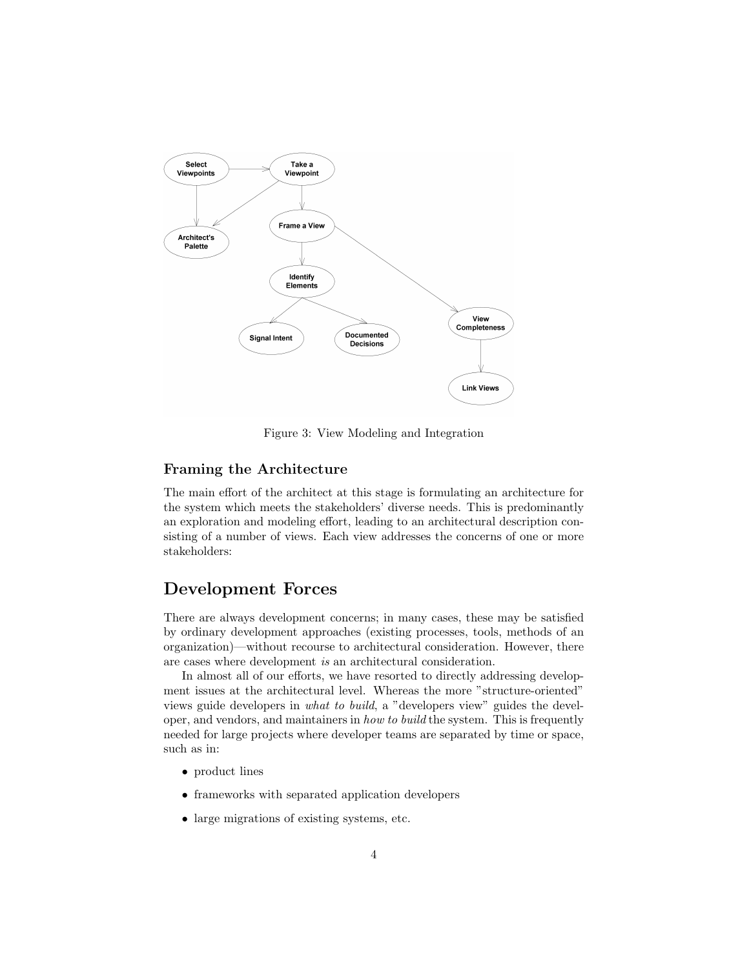

Figure 3: View Modeling and Integration

#### Framing the Architecture

The main effort of the architect at this stage is formulating an architecture for the system which meets the stakeholders' diverse needs. This is predominantly an exploration and modeling effort, leading to an architectural description consisting of a number of views. Each view addresses the concerns of one or more stakeholders:

### Development Forces

There are always development concerns; in many cases, these may be satisfied by ordinary development approaches (existing processes, tools, methods of an organization)—without recourse to architectural consideration. However, there are cases where development is an architectural consideration.

In almost all of our efforts, we have resorted to directly addressing development issues at the architectural level. Whereas the more "structure-oriented" views guide developers in what to build, a "developers view" guides the developer, and vendors, and maintainers in how to build the system. This is frequently needed for large projects where developer teams are separated by time or space, such as in:

- product lines
- frameworks with separated application developers
- large migrations of existing systems, etc.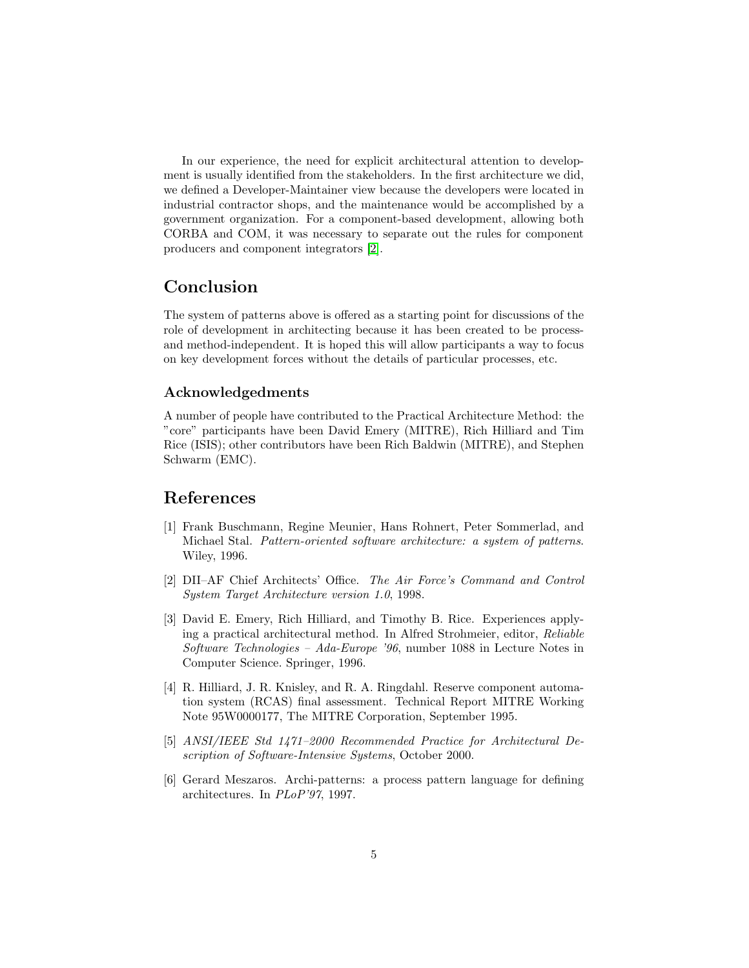In our experience, the need for explicit architectural attention to development is usually identified from the stakeholders. In the first architecture we did, we defined a Developer-Maintainer view because the developers were located in industrial contractor shops, and the maintenance would be accomplished by a government organization. For a component-based development, allowing both CORBA and COM, it was necessary to separate out the rules for component producers and component integrators [\[2\]](#page-4-1).

### Conclusion

The system of patterns above is offered as a starting point for discussions of the role of development in architecting because it has been created to be processand method-independent. It is hoped this will allow participants a way to focus on key development forces without the details of particular processes, etc.

#### Acknowledgedments

A number of people have contributed to the Practical Architecture Method: the "core" participants have been David Emery (MITRE), Rich Hilliard and Tim Rice (ISIS); other contributors have been Rich Baldwin (MITRE), and Stephen Schwarm (EMC).

### References

- <span id="page-4-5"></span>[1] Frank Buschmann, Regine Meunier, Hans Rohnert, Peter Sommerlad, and Michael Stal. Pattern-oriented software architecture: a system of patterns. Wiley, 1996.
- <span id="page-4-1"></span>[2] DII–AF Chief Architects' Office. The Air Force's Command and Control System Target Architecture version 1.0, 1998.
- <span id="page-4-2"></span>[3] David E. Emery, Rich Hilliard, and Timothy B. Rice. Experiences applying a practical architectural method. In Alfred Strohmeier, editor, Reliable Software Technologies – Ada-Europe '96, number 1088 in Lecture Notes in Computer Science. Springer, 1996.
- <span id="page-4-0"></span>[4] R. Hilliard, J. R. Knisley, and R. A. Ringdahl. Reserve component automation system (RCAS) final assessment. Technical Report MITRE Working Note 95W0000177, The MITRE Corporation, September 1995.
- <span id="page-4-3"></span>[5] ANSI/IEEE Std 1471–2000 Recommended Practice for Architectural Description of Software-Intensive Systems, October 2000.
- <span id="page-4-4"></span>[6] Gerard Meszaros. Archi-patterns: a process pattern language for defining architectures. In PLoP'97, 1997.